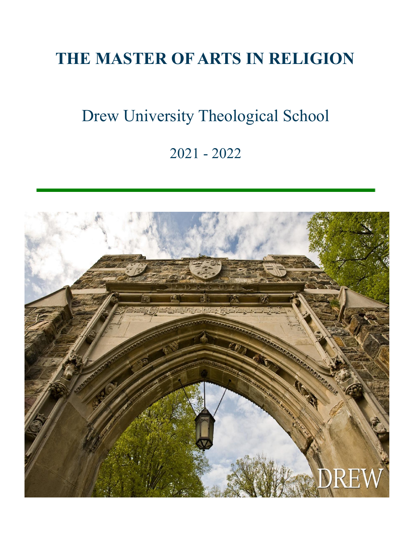# **THE MASTER OF ARTS IN RELIGION**

# Drew University Theological School

### 2021 - 2022

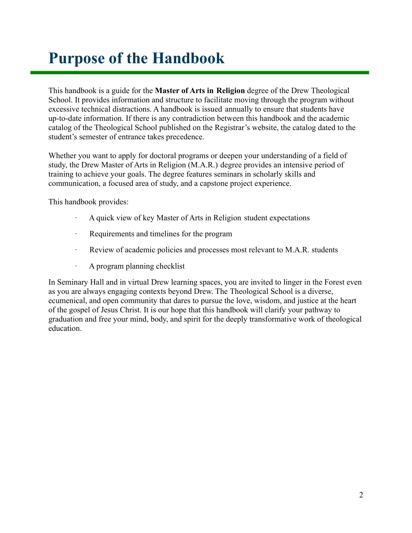### <span id="page-1-0"></span>**Purpose of the Handbook**

This handbook is a guide for the **Master of Arts in Religion** degree of the Drew Theological School. It provides information and structure to facilitate moving through the program without excessive technical distractions. A handbook is issued annually to ensure that students have up-to-date information. If there is any contradiction between this handbook and the academic catalog of the Theological School published on the Registrar's website, the catalog dated to the student's semester of entrance takes precedence.

Whether you want to apply for doctoral programs or deepen your understanding of a field of study, the Drew Master of Arts in Religion (M.A.R.) degree provides an intensive period of training to achieve your goals. The degree features seminars in scholarly skills and communication, a focused area of study, and a capstone project experience.

This handbook provides:

- · A quick view of key Master of Arts in Religion student expectations
- Requirements and timelines for the program
- · Review of academic policies and processes most relevant to M.A.R. students
- · A program planning checklist

In Seminary Hall and in virtual Drew learning spaces, you are invited to linger in the Forest even as you are always engaging contexts beyond Drew. The Theological School is a diverse, ecumenical, and open community that dares to pursue the love, wisdom, and justice at the heart of the gospel of Jesus Christ. It is our hope that this handbook will clarify your pathway to graduation and free your mind, body, and spirit for the deeply transformative work of theological education.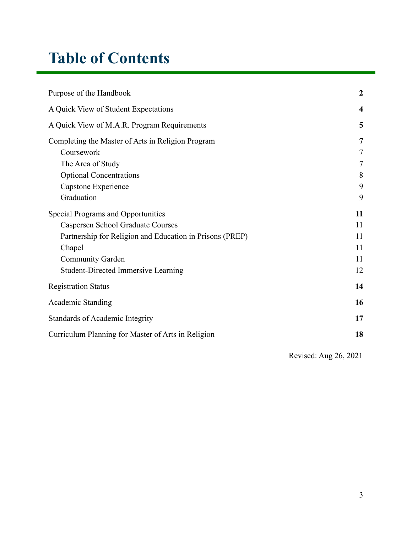### **Table of Contents**

| Purpose of the Handbook                                  |                         |
|----------------------------------------------------------|-------------------------|
| A Quick View of Student Expectations                     | $\overline{\mathbf{4}}$ |
| A Quick View of M.A.R. Program Requirements              | 5                       |
| Completing the Master of Arts in Religion Program        | $\overline{7}$          |
| Coursework                                               | 7                       |
| The Area of Study                                        | 7                       |
| <b>Optional Concentrations</b>                           | 8                       |
| Capstone Experience                                      | 9                       |
| Graduation                                               | 9                       |
| <b>Special Programs and Opportunities</b>                | 11                      |
| <b>Caspersen School Graduate Courses</b>                 | 11                      |
| Partnership for Religion and Education in Prisons (PREP) | 11                      |
| Chapel                                                   | 11                      |
| <b>Community Garden</b>                                  | 11                      |
| <b>Student-Directed Immersive Learning</b>               | 12                      |
| <b>Registration Status</b>                               | 14                      |
| <b>Academic Standing</b>                                 | 16                      |
| <b>Standards of Academic Integrity</b>                   | 17                      |
| Curriculum Planning for Master of Arts in Religion       | 18                      |
|                                                          |                         |

Revised: Aug 26, 2021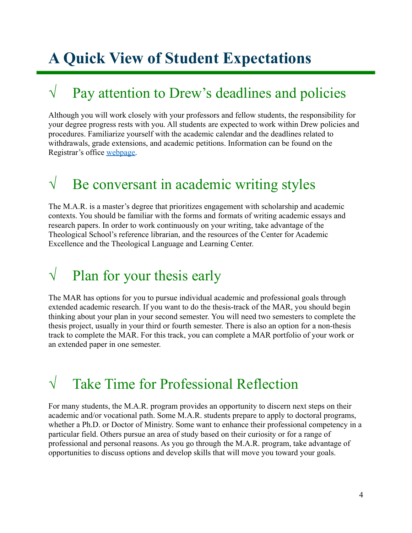# <span id="page-3-0"></span>**A Quick View of Student Expectations**

### $\sqrt{\phantom{a}}$  Pay attention to Drew's deadlines and policies

Although you will work closely with your professors and fellow students, the responsibility for your degree progress rests with you. All students are expected to work within Drew policies and procedures. Familiarize yourself with the academic calendar and the deadlines related to withdrawals, grade extensions, and academic petitions. Information can be found on the Registrar's office [webpage.](http://www.drew.edu/registrars-office/)

### $\sqrt{\phantom{a}}$  Be conversant in academic writing styles

The M.A.R. is a master's degree that prioritizes engagement with scholarship and academic contexts. You should be familiar with the forms and formats of writing academic essays and research papers. In order to work continuously on your writing, take advantage of the Theological School's reference librarian, and the resources of the Center for Academic Excellence and the Theological Language and Learning Center.

### $\sqrt{\phantom{a}}$  Plan for your thesis early

The MAR has options for you to pursue individual academic and professional goals through extended academic research. If you want to do the thesis-track of the MAR, you should begin thinking about your plan in your second semester. You will need two semesters to complete the thesis project, usually in your third or fourth semester. There is also an option for a non-thesis track to complete the MAR. For this track, you can complete a MAR portfolio of your work or an extended paper in one semester.

### √ Take Time for Professional Reflection

For many students, the M.A.R. program provides an opportunity to discern next steps on their academic and/or vocational path. Some M.A.R. students prepare to apply to doctoral programs, whether a Ph.D. or Doctor of Ministry. Some want to enhance their professional competency in a particular field. Others pursue an area of study based on their curiosity or for a range of professional and personal reasons. As you go through the M.A.R. program, take advantage of opportunities to discuss options and develop skills that will move you toward your goals.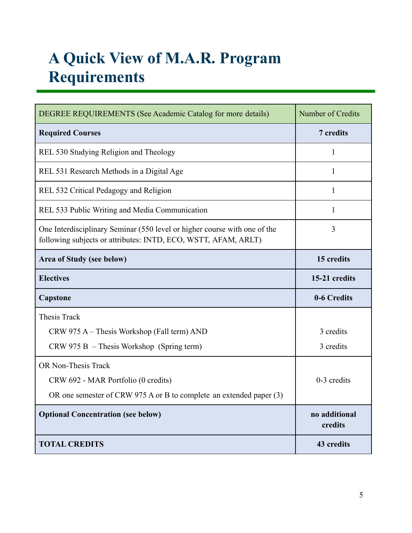# <span id="page-4-0"></span>**A Quick View of M.A.R. Program Requirements**

| DEGREE REQUIREMENTS (See Academic Catalog for more details)                                                                                 | Number of Credits        |
|---------------------------------------------------------------------------------------------------------------------------------------------|--------------------------|
| <b>Required Courses</b>                                                                                                                     | 7 credits                |
| REL 530 Studying Religion and Theology                                                                                                      | $\mathbf{1}$             |
| REL 531 Research Methods in a Digital Age                                                                                                   | 1                        |
| REL 532 Critical Pedagogy and Religion                                                                                                      | 1                        |
| REL 533 Public Writing and Media Communication                                                                                              | 1                        |
| One Interdisciplinary Seminar (550 level or higher course with one of the<br>following subjects or attributes: INTD, ECO, WSTT, AFAM, ARLT) | 3                        |
| Area of Study (see below)                                                                                                                   | 15 credits               |
| <b>Electives</b>                                                                                                                            | 15-21 credits            |
| Capstone                                                                                                                                    | 0-6 Credits              |
| <b>Thesis Track</b>                                                                                                                         |                          |
| CRW 975 A – Thesis Workshop (Fall term) AND                                                                                                 | 3 credits                |
| $CRW$ 975 B – Thesis Workshop (Spring term)                                                                                                 | 3 credits                |
| <b>OR Non-Thesis Track</b>                                                                                                                  |                          |
| CRW 692 - MAR Portfolio (0 credits)                                                                                                         | 0-3 credits              |
| OR one semester of CRW 975 A or B to complete an extended paper (3)                                                                         |                          |
| <b>Optional Concentration (see below)</b>                                                                                                   | no additional<br>credits |
| <b>TOTAL CREDITS</b>                                                                                                                        | 43 credits               |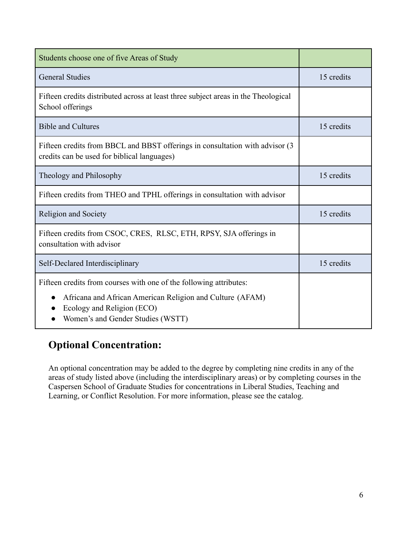| Students choose one of five Areas of Study                                                                                                                                                         |            |
|----------------------------------------------------------------------------------------------------------------------------------------------------------------------------------------------------|------------|
| <b>General Studies</b>                                                                                                                                                                             | 15 credits |
| Fifteen credits distributed across at least three subject areas in the Theological<br>School offerings                                                                                             |            |
| <b>Bible and Cultures</b>                                                                                                                                                                          | 15 credits |
| Fifteen credits from BBCL and BBST offerings in consultation with advisor (3)<br>credits can be used for biblical languages)                                                                       |            |
| Theology and Philosophy                                                                                                                                                                            | 15 credits |
| Fifteen credits from THEO and TPHL offerings in consultation with advisor                                                                                                                          |            |
| Religion and Society                                                                                                                                                                               | 15 credits |
| Fifteen credits from CSOC, CRES, RLSC, ETH, RPSY, SJA offerings in<br>consultation with advisor                                                                                                    |            |
| Self-Declared Interdisciplinary                                                                                                                                                                    | 15 credits |
| Fifteen credits from courses with one of the following attributes:<br>Africana and African American Religion and Culture (AFAM)<br>Ecology and Religion (ECO)<br>Women's and Gender Studies (WSTT) |            |

### **Optional Concentration:**

An optional concentration may be added to the degree by completing nine credits in any of the areas of study listed above (including the interdisciplinary areas) or by completing courses in the Caspersen School of Graduate Studies for concentrations in Liberal Studies, Teaching and Learning, or Conflict Resolution. For more information, please see the catalog.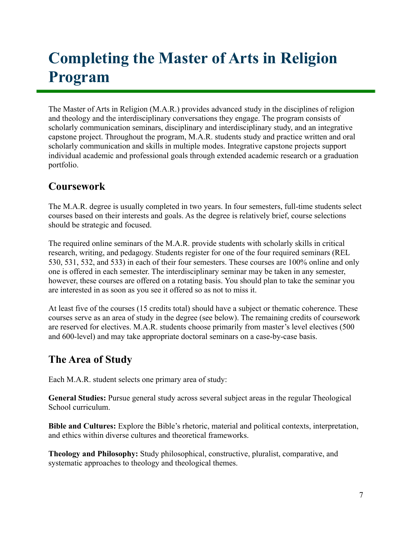# <span id="page-6-0"></span>**Completing the Master of Arts in Religion Program**

The Master of Arts in Religion (M.A.R.) provides advanced study in the disciplines of religion and theology and the interdisciplinary conversations they engage. The program consists of scholarly communication seminars, disciplinary and interdisciplinary study, and an integrative capstone project. Throughout the program, M.A.R. students study and practice written and oral scholarly communication and skills in multiple modes. Integrative capstone projects support individual academic and professional goals through extended academic research or a graduation portfolio.

### <span id="page-6-1"></span>**Coursework**

The M.A.R. degree is usually completed in two years. In four semesters, full-time students select courses based on their interests and goals. As the degree is relatively brief, course selections should be strategic and focused.

The required online seminars of the M.A.R. provide students with scholarly skills in critical research, writing, and pedagogy. Students register for one of the four required seminars (REL 530, 531, 532, and 533) in each of their four semesters. These courses are 100% online and only one is offered in each semester. The interdisciplinary seminar may be taken in any semester, however, these courses are offered on a rotating basis. You should plan to take the seminar you are interested in as soon as you see it offered so as not to miss it.

At least five of the courses (15 credits total) should have a subject or thematic coherence. These courses serve as an area of study in the degree (see below). The remaining credits of coursework are reserved for electives. M.A.R. students choose primarily from master's level electives (500 and 600-level) and may take appropriate doctoral seminars on a case-by-case basis.

### <span id="page-6-2"></span>**The Area of Study**

Each M.A.R. student selects one primary area of study:

**General Studies:** Pursue general study across several subject areas in the regular Theological School curriculum.

**Bible and Cultures:** Explore the Bible's rhetoric, material and political contexts, interpretation, and ethics within diverse cultures and theoretical frameworks.

**Theology and Philosophy:** Study philosophical, constructive, pluralist, comparative, and systematic approaches to theology and theological themes.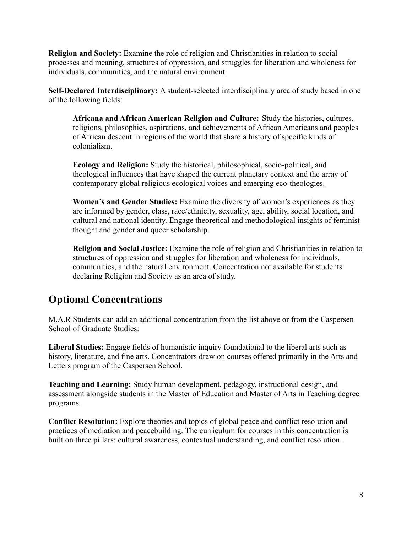**Religion and Society:** Examine the role of religion and Christianities in relation to social processes and meaning, structures of oppression, and struggles for liberation and wholeness for individuals, communities, and the natural environment.

**Self-Declared Interdisciplinary:** A student-selected interdisciplinary area of study based in one of the following fields:

**Africana and African American Religion and Culture:** Study the histories, cultures, religions, philosophies, aspirations, and achievements of African Americans and peoples of African descent in regions of the world that share a history of specific kinds of colonialism.

**Ecology and Religion:** Study the historical, philosophical, socio-political, and theological influences that have shaped the current planetary context and the array of contemporary global religious ecological voices and emerging eco-theologies.

**Women's and Gender Studies:** Examine the diversity of women's experiences as they are informed by gender, class, race/ethnicity, sexuality, age, ability, social location, and cultural and national identity. Engage theoretical and methodological insights of feminist thought and gender and queer scholarship.

**Religion and Social Justice:** Examine the role of religion and Christianities in relation to structures of oppression and struggles for liberation and wholeness for individuals, communities, and the natural environment. Concentration not available for students declaring Religion and Society as an area of study.

### <span id="page-7-0"></span>**Optional Concentrations**

M.A.R Students can add an additional concentration from the list above or from the Caspersen School of Graduate Studies:

**Liberal Studies:** Engage fields of humanistic inquiry foundational to the liberal arts such as history, literature, and fine arts. Concentrators draw on courses offered primarily in the Arts and Letters program of the Caspersen School.

**Teaching and Learning:** Study human development, pedagogy, instructional design, and assessment alongside students in the Master of Education and Master of Arts in Teaching degree programs.

**Conflict Resolution:** Explore theories and topics of global peace and conflict resolution and practices of mediation and peacebuilding. The curriculum for courses in this concentration is built on three pillars: cultural awareness, contextual understanding, and conflict resolution.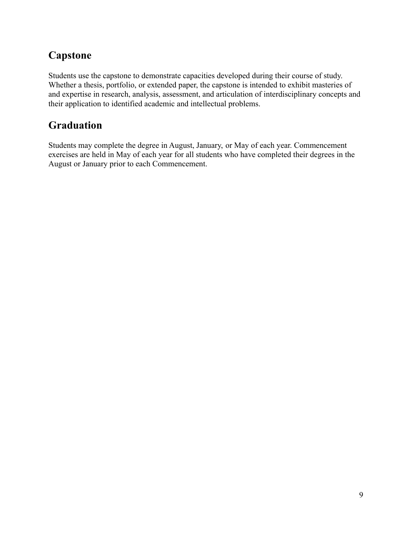### <span id="page-8-0"></span>**Capstone**

Students use the capstone to demonstrate capacities developed during their course of study. Whether a thesis, portfolio, or extended paper, the capstone is intended to exhibit masteries of and expertise in research, analysis, assessment, and articulation of interdisciplinary concepts and their application to identified academic and intellectual problems.

### <span id="page-8-1"></span>**Graduation**

Students may complete the degree in August, January, or May of each year. Commencement exercises are held in May of each year for all students who have completed their degrees in the August or January prior to each Commencement.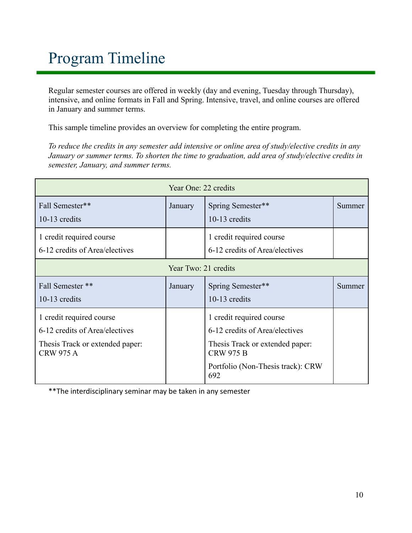# Program Timeline

Regular semester courses are offered in weekly (day and evening, Tuesday through Thursday), intensive, and online formats in Fall and Spring. Intensive, travel, and online courses are offered in January and summer terms.

This sample timeline provides an overview for completing the entire program.

*To reduce the credits in any semester add intensive or online area of study/elective credits in any January or summer terms. To shorten the time to graduation, add area of study/elective credits in semester, January, and summer terms.*

| Year One: 22 credits                                                                                              |         |                                                                                                                                                               |        |
|-------------------------------------------------------------------------------------------------------------------|---------|---------------------------------------------------------------------------------------------------------------------------------------------------------------|--------|
| Fall Semester**<br>10-13 credits                                                                                  | January | Spring Semester**<br>10-13 credits                                                                                                                            | Summer |
| 1 credit required course<br>6-12 credits of Area/electives                                                        |         | 1 credit required course<br>6-12 credits of Area/electives                                                                                                    |        |
| Year Two: 21 credits                                                                                              |         |                                                                                                                                                               |        |
| Fall Semester **<br>$10-13$ credits                                                                               | January | Spring Semester**<br>10-13 credits                                                                                                                            | Summer |
| 1 credit required course<br>6-12 credits of Area/electives<br>Thesis Track or extended paper:<br><b>CRW 975 A</b> |         | 1 credit required course<br>6-12 credits of Area/electives<br>Thesis Track or extended paper:<br><b>CRW 975 B</b><br>Portfolio (Non-Thesis track): CRW<br>692 |        |

\*\*The interdisciplinary seminar may be taken in any semester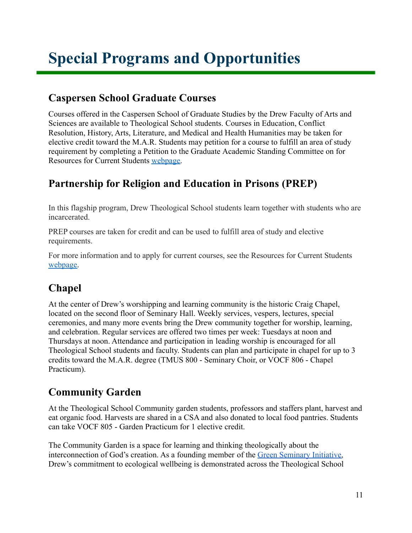# <span id="page-10-0"></span>**Special Programs and Opportunities**

### <span id="page-10-1"></span>**Caspersen School Graduate Courses**

Courses offered in the Caspersen School of Graduate Studies by the Drew Faculty of Arts and Sciences are available to Theological School students. Courses in Education, Conflict Resolution, History, Arts, Literature, and Medical and Health Humanities may be taken for elective credit toward the M.A.R. Students may petition for a course to fulfill an area of study requirement by completing a Petition to the Graduate Academic Standing Committee on for Resources for Current Students [webpage.](http://www.drew.edu/theological-school/resources/)

### <span id="page-10-2"></span>**Partnership for Religion and Education in Prisons (PREP)**

In this flagship program, Drew Theological School students learn together with students who are incarcerated.

PREP courses are taken for credit and can be used to fulfill area of study and elective requirements.

For more information and to apply for current courses, see the Resources for Current Students [webpage.](http://www.drew.edu/theological-school/resources/)

### <span id="page-10-3"></span>**Chapel**

At the center of Drew's worshipping and learning community is the historic Craig Chapel, located on the second floor of Seminary Hall. Weekly services, vespers, lectures, special ceremonies, and many more events bring the Drew community together for worship, learning, and celebration. Regular services are offered two times per week: Tuesdays at noon and Thursdays at noon. Attendance and participation in leading worship is encouraged for all Theological School students and faculty. Students can plan and participate in chapel for up to 3 credits toward the M.A.R. degree (TMUS 800 - Seminary Choir, or VOCF 806 - Chapel Practicum).

### <span id="page-10-4"></span>**Community Garden**

At the Theological School Community garden students, professors and staffers plant, harvest and eat organic food. Harvests are shared in a CSA and also donated to local food pantries. Students can take VOCF 805 - Garden Practicum for 1 elective credit.

The Community Garden is a space for learning and thinking theologically about the interconnection of God's creation. As a founding member of the [Green Seminary Initiative,](https://www.greenseminaries.org/) Drew's commitment to ecological wellbeing is demonstrated across the Theological School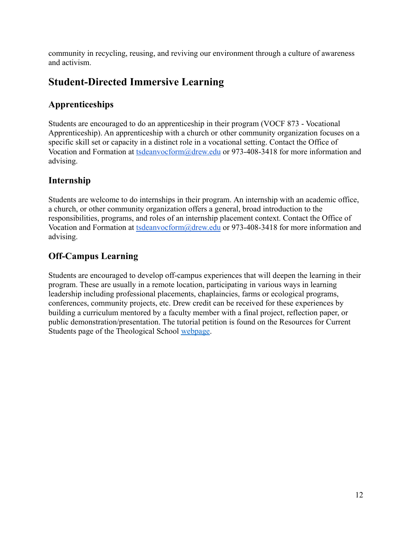community in recycling, reusing, and reviving our environment through a culture of awareness and activism.

### <span id="page-11-0"></span>**Student-Directed Immersive Learning**

#### **Apprenticeships**

Students are encouraged to do an apprenticeship in their program (VOCF 873 - Vocational Apprenticeship). An apprenticeship with a church or other community organization focuses on a specific skill set or capacity in a distinct role in a vocational setting. Contact the Office of Vocation and Formation at [tsdeanvocform@drew.edu](mailto:tsdeanvocform@drew.edu) or 973-408-3418 for more information and advising.

#### **Internship**

Students are welcome to do internships in their program. An internship with an academic office, a church, or other community organization offers a general, broad introduction to the responsibilities, programs, and roles of an internship placement context. Contact the Office of Vocation and Formation at [tsdeanvocform@drew.edu](mailto:tsdeanvocform@drew.edu) or 973-408-3418 for more information and advising.

#### **Off-Campus Learning**

Students are encouraged to develop off-campus experiences that will deepen the learning in their program. These are usually in a remote location, participating in various ways in learning leadership including professional placements, chaplaincies, farms or ecological programs, conferences, community projects, etc. Drew credit can be received for these experiences by building a curriculum mentored by a faculty member with a final project, reflection paper, or public demonstration/presentation. The tutorial petition is found on the Resources for Current Students page of the Theological School [webpage.](http://www.drew.edu/theological-school/resources/)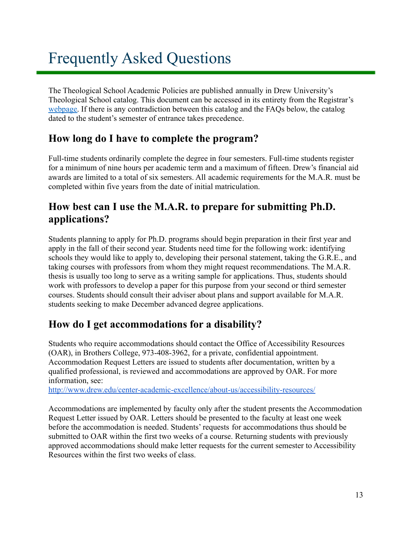# Frequently Asked Questions

The Theological School Academic Policies are published annually in Drew University's Theological School catalog. This document can be accessed in its entirety from the Registrar's [webpage.](http://www.drew.edu/registrars-office/) If there is any contradiction between this catalog and the FAQs below, the catalog dated to the student's semester of entrance takes precedence.

#### **How long do I have to complete the program?**

Full-time students ordinarily complete the degree in four semesters. Full-time students register for a minimum of nine hours per academic term and a maximum of fifteen. Drew's financial aid awards are limited to a total of six semesters. All academic requirements for the M.A.R. must be completed within five years from the date of initial matriculation.

#### **How best can I use the M.A.R. to prepare for submitting Ph.D. applications?**

Students planning to apply for Ph.D. programs should begin preparation in their first year and apply in the fall of their second year. Students need time for the following work: identifying schools they would like to apply to, developing their personal statement, taking the G.R.E., and taking courses with professors from whom they might request recommendations. The M.A.R. thesis is usually too long to serve as a writing sample for applications. Thus, students should work with professors to develop a paper for this purpose from your second or third semester courses. Students should consult their adviser about plans and support available for M.A.R. students seeking to make December advanced degree applications.

### **How do I get accommodations for a disability?**

Students who require accommodations should contact the Office of Accessibility Resources (OAR), in Brothers College, 973-408-3962, for a private, confidential appointment. Accommodation Request Letters are issued to students after documentation, written by a qualified professional, is reviewed and accommodations are approved by OAR. For more information, see:

<http://www.drew.edu/center-academic-excellence/about-us/accessibility-resources/>

Accommodations are implemented by faculty only after the student presents the Accommodation Request Letter issued by OAR. Letters should be presented to the faculty at least one week before the accommodation is needed. Students' requests for accommodations thus should be submitted to OAR within the first two weeks of a course. Returning students with previously approved accommodations should make letter requests for the current semester to Accessibility Resources within the first two weeks of class.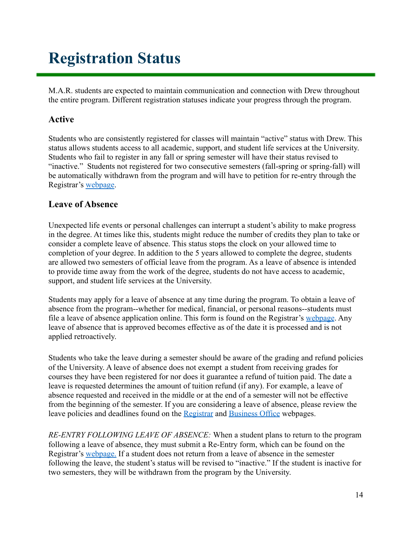# <span id="page-13-0"></span>**Registration Status**

M.A.R. students are expected to maintain communication and connection with Drew throughout the entire program. Different registration statuses indicate your progress through the program.

#### **Active**

Students who are consistently registered for classes will maintain "active" status with Drew. This status allows students access to all academic, support, and student life services at the University. Students who fail to register in any fall or spring semester will have their status revised to "inactive." Students not registered for two consecutive semesters (fall-spring or spring-fall) will be automatically withdrawn from the program and will have to petition for re-entry through the Registrar's [webpage](http://www.drew.edu/registrars-office/).

#### **Leave of Absence**

Unexpected life events or personal challenges can interrupt a student's ability to make progress in the degree. At times like this, students might reduce the number of credits they plan to take or consider a complete leave of absence. This status stops the clock on your allowed time to completion of your degree. In addition to the 5 years allowed to complete the degree, students are allowed two semesters of official leave from the program. As a leave of absence is intended to provide time away from the work of the degree, students do not have access to academic, support, and student life services at the University.

Students may apply for a leave of absence at any time during the program. To obtain a leave of absence from the program--whether for medical, financial, or personal reasons--students must file a leave of absence application online. This form is found on the Registrar's [webpage](http://www.drew.edu/registrars-office/). Any leave of absence that is approved becomes effective as of the date it is processed and is not applied retroactively.

Students who take the leave during a semester should be aware of the grading and refund policies of the University. A leave of absence does not exempt a student from receiving grades for courses they have been registered for nor does it guarantee a refund of tuition paid. The date a leave is requested determines the amount of tuition refund (if any). For example, a leave of absence requested and received in the middle or at the end of a semester will not be effective from the beginning of the semester. If you are considering a leave of absence, please review the leave policies and deadlines found on the [Registrar](http://www.drew.edu/registrars-office/) and [Business Office](http://www.drew.edu/fba/student-accounts/) webpages.

*RE-ENTRY FOLLOWING LEAVE OF ABSENCE:* When a student plans to return to the program following a leave of absence, they must submit a Re-Entry form, which can be found on the Registrar's [webpage.](http://www.drew.edu/registrars-office/) If a student does not return from a leave of absence in the semester following the leave, the student's status will be revised to "inactive." If the student is inactive for two semesters, they will be withdrawn from the program by the University.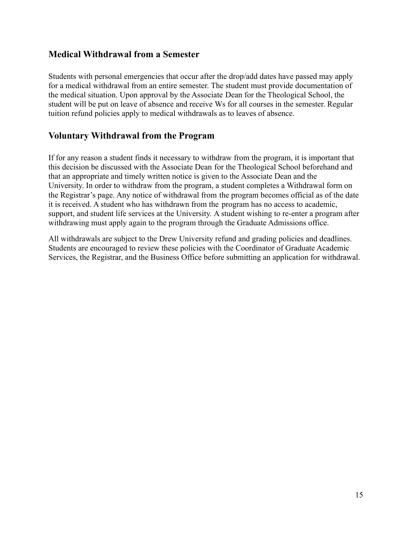#### **Medical Withdrawal from a Semester**

Students with personal emergencies that occur after the drop/add dates have passed may apply for a medical withdrawal from an entire semester. The student must provide documentation of the medical situation. Upon approval by the Associate Dean for the Theological School, the student will be put on leave of absence and receive Ws for all courses in the semester. Regular tuition refund policies apply to medical withdrawals as to leaves of absence.

#### **Voluntary Withdrawal from the Program**

If for any reason a student finds it necessary to withdraw from the program, it is important that this decision be discussed with the Associate Dean for the Theological School beforehand and that an appropriate and timely written notice is given to the Associate Dean and the University. In order to withdraw from the program, a student completes a Withdrawal form on the Registrar's page. Any notice of withdrawal from the program becomes official as of the date it is received. A student who has withdrawn from the program has no access to academic, support, and student life services at the University. A student wishing to re-enter a program after withdrawing must apply again to the program through the Graduate Admissions office.

All withdrawals are subject to the Drew University refund and grading policies and deadlines. Students are encouraged to review these policies with the Coordinator of Graduate Academic Services, the Registrar, and the Business Office before submitting an application for withdrawal.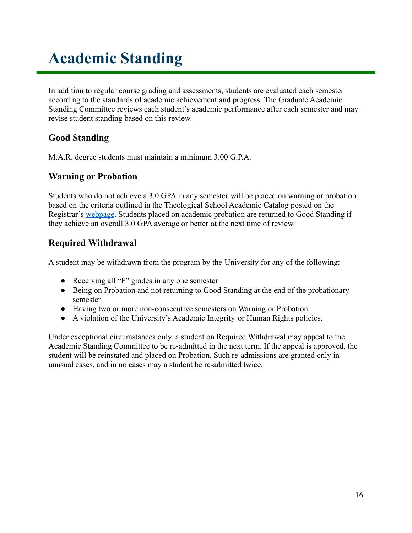# <span id="page-15-0"></span>**Academic Standing**

In addition to regular course grading and assessments, students are evaluated each semester according to the standards of academic achievement and progress. The Graduate Academic Standing Committee reviews each student's academic performance after each semester and may revise student standing based on this review.

#### **Good Standing**

M.A.R. degree students must maintain a minimum 3.00 G.P.A.

#### **Warning or Probation**

Students who do not achieve a 3.0 GPA in any semester will be placed on warning or probation based on the criteria outlined in the Theological School Academic Catalog posted on the Registrar's [webpage](http://www.drew.edu/registrars-office/). Students placed on academic probation are returned to Good Standing if they achieve an overall 3.0 GPA average or better at the next time of review.

#### **Required Withdrawal**

A student may be withdrawn from the program by the University for any of the following:

- Receiving all "F" grades in any one semester
- Being on Probation and not returning to Good Standing at the end of the probationary semester
- Having two or more non-consecutive semesters on Warning or Probation
- A violation of the University's Academic Integrity or Human Rights policies.

Under exceptional circumstances only, a student on Required Withdrawal may appeal to the Academic Standing Committee to be re-admitted in the next term. If the appeal is approved, the student will be reinstated and placed on Probation. Such re-admissions are granted only in unusual cases, and in no cases may a student be re-admitted twice.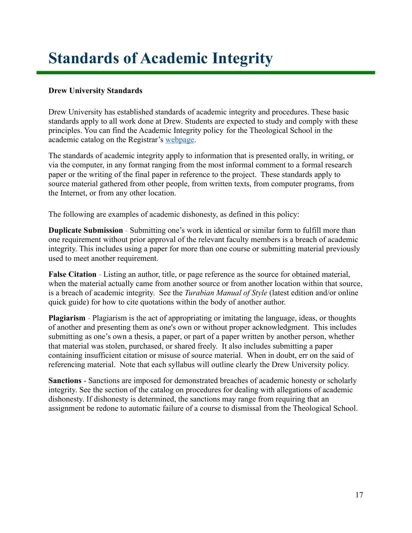# <span id="page-16-0"></span>**Standards of Academic Integrity**

#### **Drew University Standards**

Drew University has established standards of academic integrity and procedures. These basic standards apply to all work done at Drew. Students are expected to study and comply with these principles. You can find the Academic Integrity policy for the Theological School in the academic catalog on the Registrar's [webpage.](http://catalog.drew.edu/index.php)

The standards of academic integrity apply to information that is presented orally, in writing, or via the computer, in any format ranging from the most informal comment to a formal research paper or the writing of the final paper in reference to the project. These standards apply to source material gathered from other people, from written texts, from computer programs, from the Internet, or from any other location.

The following are examples of academic dishonesty, as defined in this policy:

**Duplicate Submission** - Submitting one's work in identical or similar form to fulfill more than one requirement without prior approval of the relevant faculty members is a breach of academic integrity. This includes using a paper for more than one course or submitting material previously used to meet another requirement.

**False Citation** - Listing an author, title, or page reference as the source for obtained material, when the material actually came from another source or from another location within that source, is a breach of academic integrity. See the *Turabian Manual of Style* (latest edition and/or online quick guide) for how to cite quotations within the body of another author.

**Plagiarism** - Plagiarism is the act of appropriating or imitating the language, ideas, or thoughts of another and presenting them as one's own or without proper acknowledgment. This includes submitting as one's own a thesis, a paper, or part of a paper written by another person, whether that material was stolen, purchased, or shared freely. It also includes submitting a paper containing insufficient citation or misuse of source material. When in doubt, err on the said of referencing material. Note that each syllabus will outline clearly the Drew University policy.

**Sanctions** - Sanctions are imposed for demonstrated breaches of academic honesty or scholarly integrity. See the section of the catalog on procedures for dealing with allegations of academic dishonesty. If dishonesty is determined, the sanctions may range from requiring that an assignment be redone to automatic failure of a course to dismissal from the Theological School.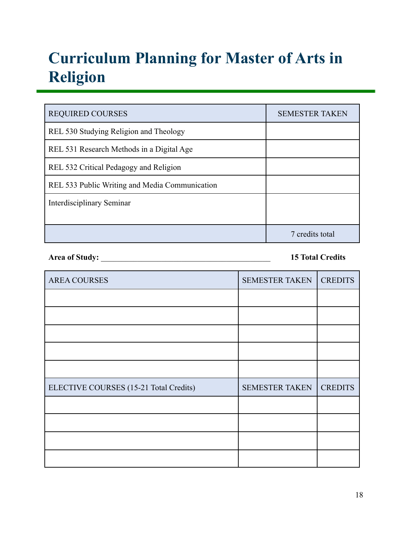# <span id="page-17-0"></span>**Curriculum Planning for Master of Arts in Religion**

| <b>REQUIRED COURSES</b>                        | <b>SEMESTER TAKEN</b> |
|------------------------------------------------|-----------------------|
| REL 530 Studying Religion and Theology         |                       |
| REL 531 Research Methods in a Digital Age      |                       |
| REL 532 Critical Pedagogy and Religion         |                       |
| REL 533 Public Writing and Media Communication |                       |
| Interdisciplinary Seminar                      |                       |
|                                                |                       |
|                                                | 7 credits total       |

**Area of Study:** \_\_\_\_\_\_\_\_\_\_\_\_\_\_\_\_\_\_\_\_\_\_\_\_\_\_\_\_\_\_\_\_\_\_\_\_\_\_\_\_\_\_ **15 Total Credits**

| <b>AREA COURSES</b>                    | <b>SEMESTER TAKEN</b> | <b>CREDITS</b> |
|----------------------------------------|-----------------------|----------------|
|                                        |                       |                |
|                                        |                       |                |
|                                        |                       |                |
|                                        |                       |                |
|                                        |                       |                |
| ELECTIVE COURSES (15-21 Total Credits) | <b>SEMESTER TAKEN</b> | <b>CREDITS</b> |
|                                        |                       |                |
|                                        |                       |                |
|                                        |                       |                |
|                                        |                       |                |